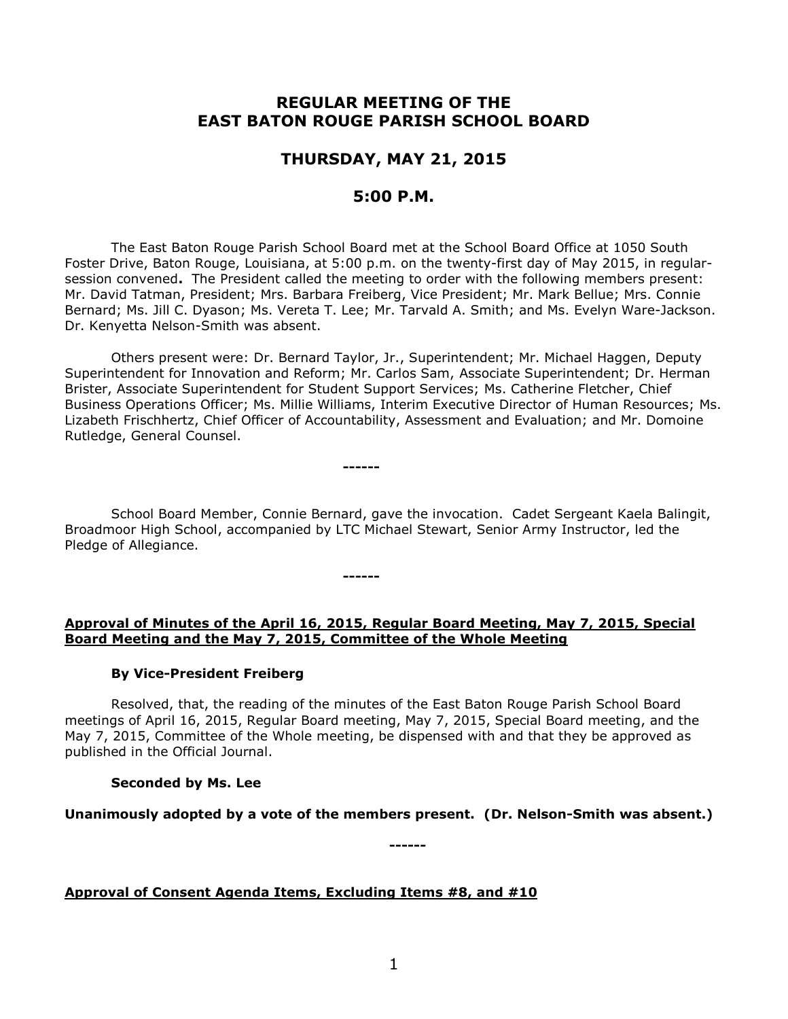# **REGULAR MEETING OF THE EAST BATON ROUGE PARISH SCHOOL BOARD**

## **THURSDAY, MAY 21, 2015**

## **5:00 P.M.**

The East Baton Rouge Parish School Board met at the School Board Office at 1050 South Foster Drive, Baton Rouge, Louisiana, at 5:00 p.m. on the twenty-first day of May 2015, in regularsession convened**.** The President called the meeting to order with the following members present: Mr. David Tatman, President; Mrs. Barbara Freiberg, Vice President; Mr. Mark Bellue; Mrs. Connie Bernard; Ms. Jill C. Dyason; Ms. Vereta T. Lee; Mr. Tarvald A. Smith; and Ms. Evelyn Ware-Jackson. Dr. Kenyetta Nelson-Smith was absent.

Others present were: Dr. Bernard Taylor, Jr., Superintendent; Mr. Michael Haggen, Deputy Superintendent for Innovation and Reform; Mr. Carlos Sam, Associate Superintendent; Dr. Herman Brister, Associate Superintendent for Student Support Services; Ms. Catherine Fletcher, Chief Business Operations Officer; Ms. Millie Williams, Interim Executive Director of Human Resources; Ms. Lizabeth Frischhertz, Chief Officer of Accountability, Assessment and Evaluation; and Mr. Domoine Rutledge, General Counsel.

School Board Member, Connie Bernard, gave the invocation. Cadet Sergeant Kaela Balingit, Broadmoor High School, accompanied by LTC Michael Stewart, Senior Army Instructor, led the Pledge of Allegiance.

**------**

**------**

## **Approval of Minutes of the April 16, 2015, Regular Board Meeting, May 7, 2015, Special Board Meeting and the May 7, 2015, Committee of the Whole Meeting**

## **By Vice-President Freiberg**

Resolved, that, the reading of the minutes of the East Baton Rouge Parish School Board meetings of April 16, 2015, Regular Board meeting, May 7, 2015, Special Board meeting, and the May 7, 2015, Committee of the Whole meeting, be dispensed with and that they be approved as published in the Official Journal.

# **Seconded by Ms. Lee**

**Unanimously adopted by a vote of the members present. (Dr. Nelson-Smith was absent.)**

**------**

**Approval of Consent Agenda Items, Excluding Items #8, and #10**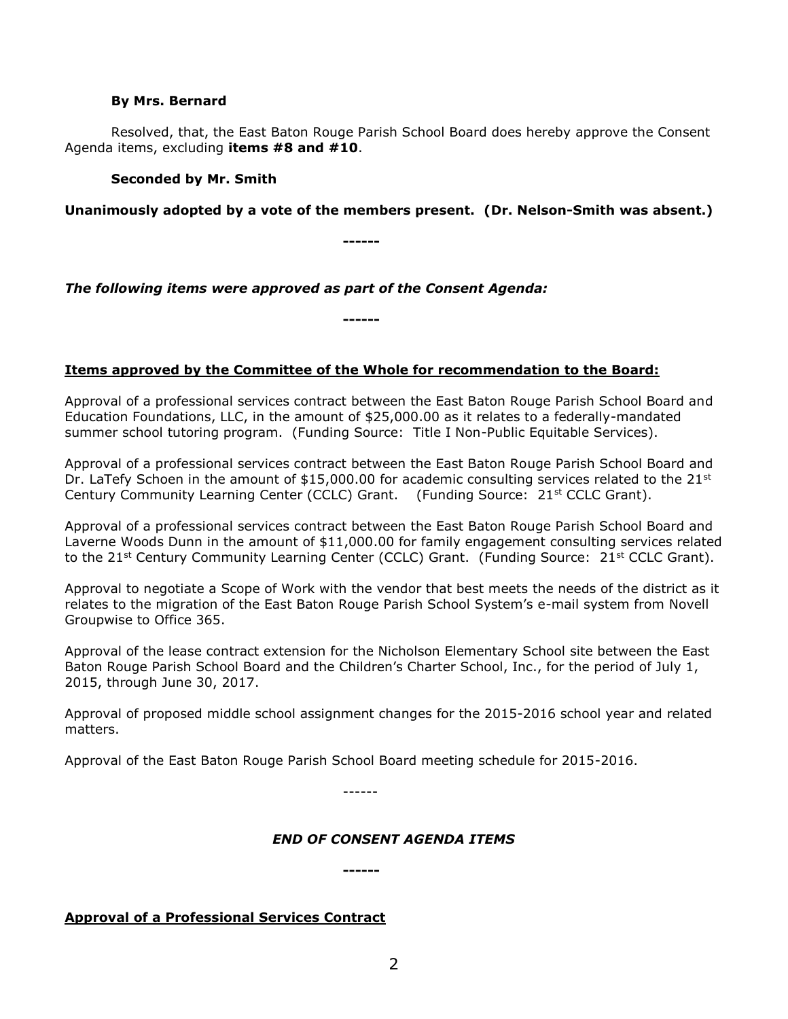#### **By Mrs. Bernard**

Resolved, that, the East Baton Rouge Parish School Board does hereby approve the Consent Agenda items, excluding **items #8 and #10**.

### **Seconded by Mr. Smith**

### **Unanimously adopted by a vote of the members present. (Dr. Nelson-Smith was absent.)**

**------**

### *The following items were approved as part of the Consent Agenda:*

**Items approved by the Committee of the Whole for recommendation to the Board:** 

**------**

Approval of a professional services contract between the East Baton Rouge Parish School Board and Education Foundations, LLC, in the amount of \$25,000.00 as it relates to a federally-mandated summer school tutoring program. (Funding Source: Title I Non-Public Equitable Services).

Approval of a professional services contract between the East Baton Rouge Parish School Board and Dr. LaTefy Schoen in the amount of  $$15,000.00$  for academic consulting services related to the 21st Century Community Learning Center (CCLC) Grant. (Funding Source:  $21^{st}$  CCLC Grant).

Approval of a professional services contract between the East Baton Rouge Parish School Board and Laverne Woods Dunn in the amount of \$11,000.00 for family engagement consulting services related to the 21<sup>st</sup> Century Community Learning Center (CCLC) Grant. (Funding Source:  $21^{st}$  CCLC Grant).

Approval to negotiate a Scope of Work with the vendor that best meets the needs of the district as it relates to the migration of the East Baton Rouge Parish School System's e-mail system from Novell Groupwise to Office 365.

Approval of the lease contract extension for the Nicholson Elementary School site between the East Baton Rouge Parish School Board and the Children's Charter School, Inc., for the period of July 1, 2015, through June 30, 2017.

Approval of proposed middle school assignment changes for the 2015-2016 school year and related matters.

Approval of the East Baton Rouge Parish School Board meeting schedule for 2015-2016.

------

### *END OF CONSENT AGENDA ITEMS*

**------**

## **Approval of a Professional Services Contract**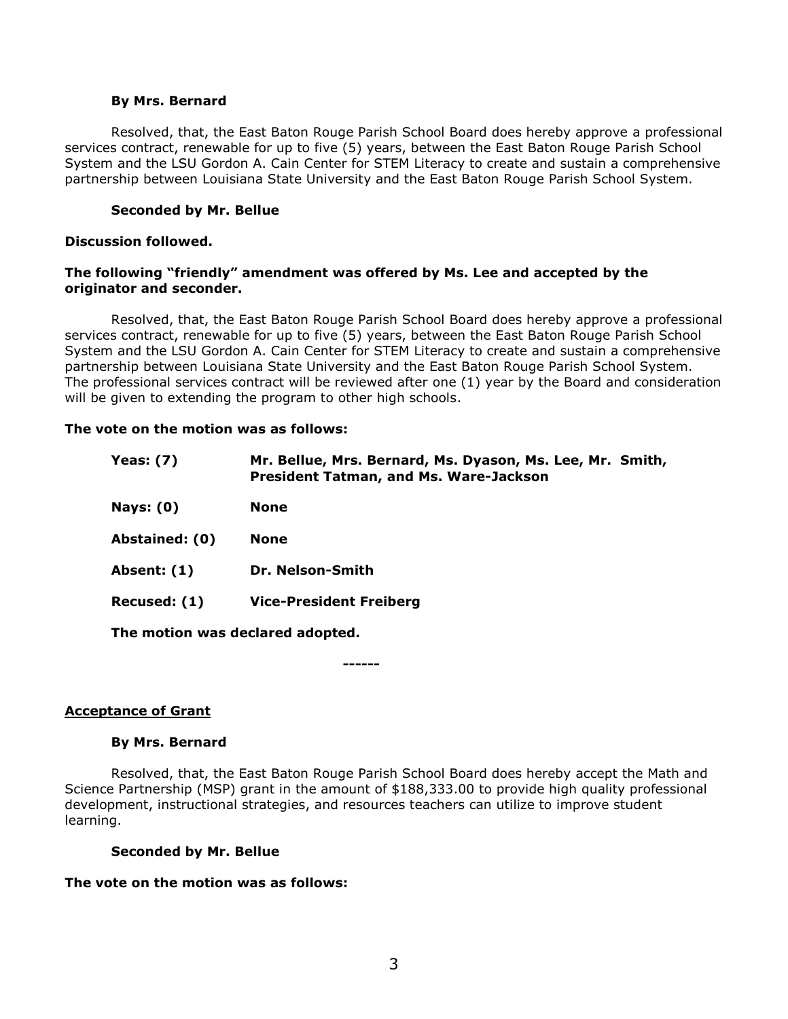#### **By Mrs. Bernard**

Resolved, that, the East Baton Rouge Parish School Board does hereby approve a professional services contract, renewable for up to five (5) years, between the East Baton Rouge Parish School System and the LSU Gordon A. Cain Center for STEM Literacy to create and sustain a comprehensive partnership between Louisiana State University and the East Baton Rouge Parish School System.

#### **Seconded by Mr. Bellue**

#### **Discussion followed.**

#### **The following "friendly" amendment was offered by Ms. Lee and accepted by the originator and seconder.**

Resolved, that, the East Baton Rouge Parish School Board does hereby approve a professional services contract, renewable for up to five (5) years, between the East Baton Rouge Parish School System and the LSU Gordon A. Cain Center for STEM Literacy to create and sustain a comprehensive partnership between Louisiana State University and the East Baton Rouge Parish School System. The professional services contract will be reviewed after one (1) year by the Board and consideration will be given to extending the program to other high schools.

#### **The vote on the motion was as follows:**

| <b>Yeas: (7)</b>                 | Mr. Bellue, Mrs. Bernard, Ms. Dyason, Ms. Lee, Mr. Smith,<br><b>President Tatman, and Ms. Ware-Jackson</b> |  |
|----------------------------------|------------------------------------------------------------------------------------------------------------|--|
| <b>Nays: (0)</b>                 | <b>None</b>                                                                                                |  |
| Abstained: (0)                   | <b>None</b>                                                                                                |  |
| <b>Absent: (1)</b>               | Dr. Nelson-Smith                                                                                           |  |
| Recused: (1)                     | <b>Vice-President Freiberg</b>                                                                             |  |
| The motion was declared adopted. |                                                                                                            |  |
|                                  |                                                                                                            |  |

**------**

#### **Acceptance of Grant**

#### **By Mrs. Bernard**

Resolved, that, the East Baton Rouge Parish School Board does hereby accept the Math and Science Partnership (MSP) grant in the amount of \$188,333.00 to provide high quality professional development, instructional strategies, and resources teachers can utilize to improve student learning.

### **Seconded by Mr. Bellue**

#### **The vote on the motion was as follows:**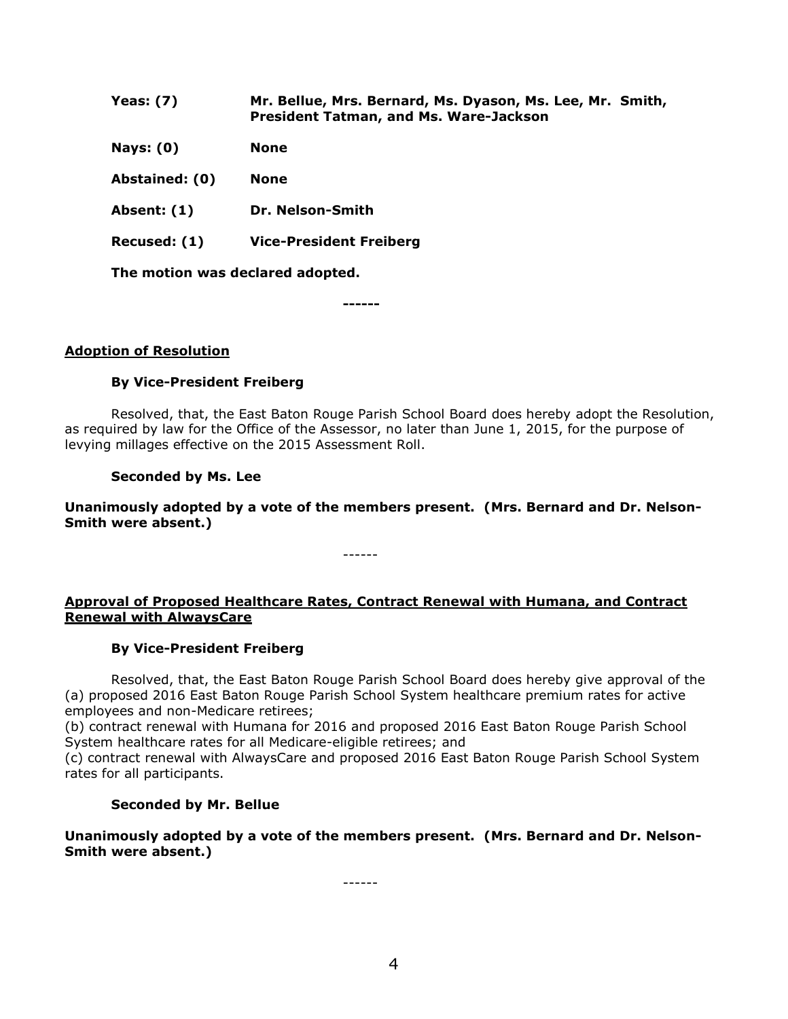| Yeas: $(7)$                      | Mr. Bellue, Mrs. Bernard, Ms. Dyason, Ms. Lee, Mr. Smith,<br><b>President Tatman, and Ms. Ware-Jackson</b> |
|----------------------------------|------------------------------------------------------------------------------------------------------------|
| <b>Nays: (0)</b>                 | <b>None</b>                                                                                                |
| Abstained: (0)                   | <b>None</b>                                                                                                |
| Absent: (1)                      | Dr. Nelson-Smith                                                                                           |
| Recused: (1)                     | <b>Vice-President Freiberg</b>                                                                             |
| The motion was declared adopted. |                                                                                                            |

**------**

#### **Adoption of Resolution**

#### **By Vice-President Freiberg**

Resolved, that, the East Baton Rouge Parish School Board does hereby adopt the Resolution, as required by law for the Office of the Assessor, no later than June 1, 2015, for the purpose of levying millages effective on the 2015 Assessment Roll.

#### **Seconded by Ms. Lee**

**Unanimously adopted by a vote of the members present. (Mrs. Bernard and Dr. Nelson-Smith were absent.)**

------

**Approval of Proposed Healthcare Rates, Contract Renewal with Humana, and Contract Renewal with AlwaysCare**

#### **By Vice-President Freiberg**

Resolved, that, the East Baton Rouge Parish School Board does hereby give approval of the (a) proposed 2016 East Baton Rouge Parish School System healthcare premium rates for active employees and non-Medicare retirees;

(b) contract renewal with Humana for 2016 and proposed 2016 East Baton Rouge Parish School System healthcare rates for all Medicare-eligible retirees; and

(c) contract renewal with AlwaysCare and proposed 2016 East Baton Rouge Parish School System rates for all participants.

#### **Seconded by Mr. Bellue**

**Unanimously adopted by a vote of the members present. (Mrs. Bernard and Dr. Nelson-Smith were absent.)**

------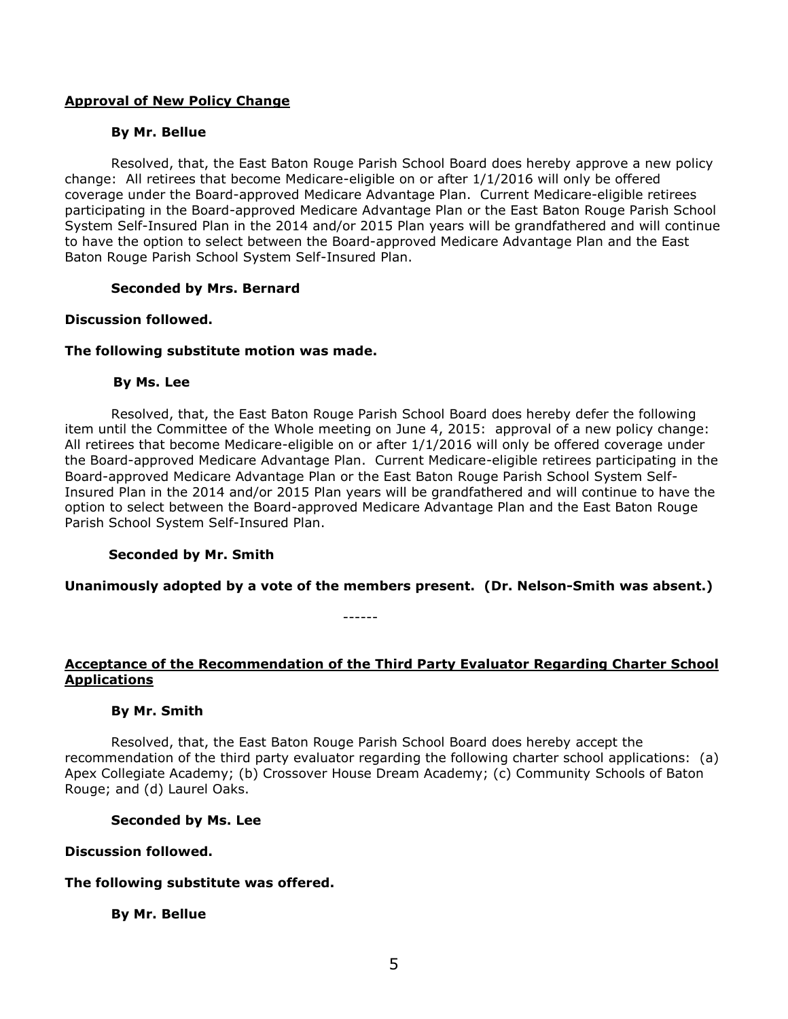### **Approval of New Policy Change**

### **By Mr. Bellue**

Resolved, that, the East Baton Rouge Parish School Board does hereby approve a new policy change: All retirees that become Medicare-eligible on or after 1/1/2016 will only be offered coverage under the Board-approved Medicare Advantage Plan. Current Medicare-eligible retirees participating in the Board-approved Medicare Advantage Plan or the East Baton Rouge Parish School System Self-Insured Plan in the 2014 and/or 2015 Plan years will be grandfathered and will continue to have the option to select between the Board-approved Medicare Advantage Plan and the East Baton Rouge Parish School System Self-Insured Plan.

### **Seconded by Mrs. Bernard**

### **Discussion followed.**

### **The following substitute motion was made.**

### **By Ms. Lee**

Resolved, that, the East Baton Rouge Parish School Board does hereby defer the following item until the Committee of the Whole meeting on June 4, 2015: approval of a new policy change: All retirees that become Medicare-eligible on or after 1/1/2016 will only be offered coverage under the Board-approved Medicare Advantage Plan. Current Medicare-eligible retirees participating in the Board-approved Medicare Advantage Plan or the East Baton Rouge Parish School System Self-Insured Plan in the 2014 and/or 2015 Plan years will be grandfathered and will continue to have the option to select between the Board-approved Medicare Advantage Plan and the East Baton Rouge Parish School System Self-Insured Plan.

## **Seconded by Mr. Smith**

**Unanimously adopted by a vote of the members present. (Dr. Nelson-Smith was absent.)**

------

### **Acceptance of the Recommendation of the Third Party Evaluator Regarding Charter School Applications**

### **By Mr. Smith**

Resolved, that, the East Baton Rouge Parish School Board does hereby accept the recommendation of the third party evaluator regarding the following charter school applications: (a) Apex Collegiate Academy; (b) Crossover House Dream Academy; (c) Community Schools of Baton Rouge; and (d) Laurel Oaks.

### **Seconded by Ms. Lee**

### **Discussion followed.**

## **The following substitute was offered.**

### **By Mr. Bellue**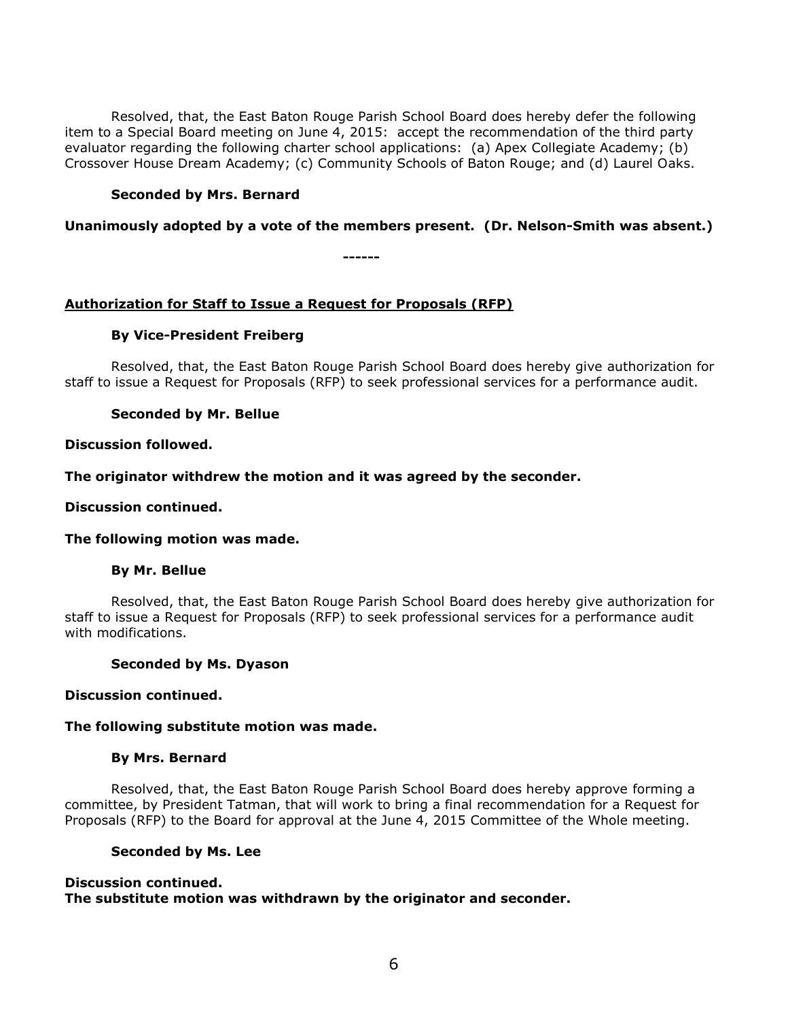Resolved, that, the East Baton Rouge Parish School Board does hereby defer the following item to a Special Board meeting on June 4, 2015: accept the recommendation of the third party evaluator regarding the following charter school applications: (a) Apex Collegiate Academy; (b) Crossover House Dream Academy; (c) Community Schools of Baton Rouge; and (d) Laurel Oaks.

### **Seconded by Mrs. Bernard**

### **Unanimously adopted by a vote of the members present. (Dr. Nelson-Smith was absent.)**

**------**

### **Authorization for Staff to Issue a Request for Proposals (RFP)**

### **By Vice-President Freiberg**

Resolved, that, the East Baton Rouge Parish School Board does hereby give authorization for staff to issue a Request for Proposals (RFP) to seek professional services for a performance audit.

### **Seconded by Mr. Bellue**

#### **Discussion followed.**

**The originator withdrew the motion and it was agreed by the seconder.**

#### **Discussion continued.**

### **The following motion was made.**

### **By Mr. Bellue**

Resolved, that, the East Baton Rouge Parish School Board does hereby give authorization for staff to issue a Request for Proposals (RFP) to seek professional services for a performance audit with modifications.

#### **Seconded by Ms. Dyason**

#### **Discussion continued.**

#### **The following substitute motion was made.**

### **By Mrs. Bernard**

Resolved, that, the East Baton Rouge Parish School Board does hereby approve forming a committee, by President Tatman, that will work to bring a final recommendation for a Request for Proposals (RFP) to the Board for approval at the June 4, 2015 Committee of the Whole meeting.

#### **Seconded by Ms. Lee**

#### **Discussion continued. The substitute motion was withdrawn by the originator and seconder.**